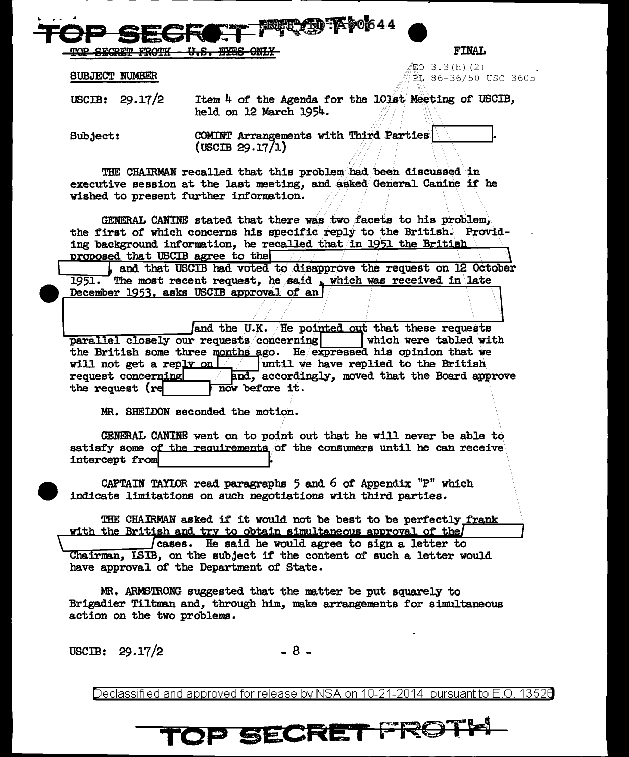<u>SECRETI</u>

**FINAL** 

EO 3.3(h)(2) EL 86-36/50 USC 3605

**SUBJECT NUMBER** 

USCIB:  $29.17/2$ Item 4 of the Agenda for the 101st Meeting of USCIB, held on 12 March 1954.

**UT AD Koo**644

COMINT Arrangements with Third Parties Subject:  $(USCIB 29.17/1)$ 

THE CHAIRMAN recalled that this problem had been discussed in executive session at the last meeting, and asked General Canine if he wished to present further information.

GENERAL CANINE stated that there was two facets to his problem, the first of which concerns his specific reply to the British. Providing background information, he recalled that in 1951 the British proposed that USCIB agree to the

, and that USCIB had voted to disapprove the request on 12 October The most recent request, he said, which was received in late 1951. December 1953, asks USCIB approval of an

and the U.K. He pointed out that these requests parallel closely our requests concerning which were tabled with the British some three months ago. He expressed his opinion that we will not get a reply on  $\lfloor \frac{1}{2} \rfloor$  whill we have replied to the British and, accordingly, moved that the Board approve request concerning the request (re now before it.

MR. SHELDON seconded the motion.

GENERAL CANINE went on to point out that he will never be able to satisfy some of the requirements of the consumers until he can receive intercept from

CAPTAIN TAYLOR read paragraphs  $5$  and  $6$  of Appendix  $"P"$  which indicate limitations on such negotiations with third parties.

THE CHAIRMAN asked if it would not be best to be perfectly frank with the British and try to obtain simultaneous approval of the

cases. He said he would agree to sign a letter to Chairman, ISIB, on the subject if the content of such a letter would have approval of the Department of State.

MR. ARMSTRONG suggested that the matter be put squarely to Brigadier Tiltman and, through him, make arrangements for simultaneous action on the two problems.

USCIB:  $29.17/2$ 

 $-8-$ 

Declassified and approved for release by NSA on 10-21-2014 pursuant to E.O. 13520

## TOP SECRET FROT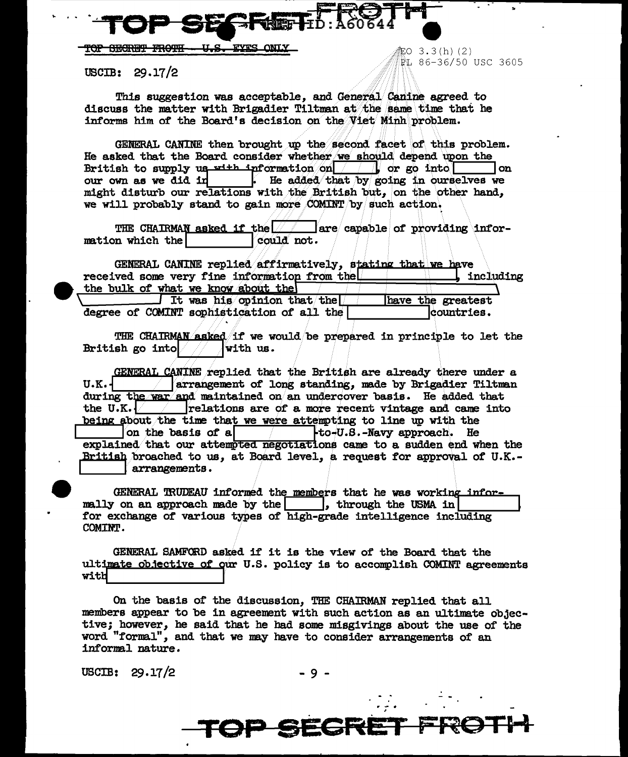**FYRS FOR SECRET FROTH** <u>n a - </u>

 $USCIB: 29.17/2$ 

This suggestion was acceptable, and General Canine agreed to discuss the matter with Brigadier Tiltman at the same time that he informs him of the Board's decision on the Viet Minh problem.

-<br>部O 3.3(h)(2)

PL 86-36/50 USC 3605

GENERAL CANINE then brought up the second facet of this problem. He asked that the Board consider whether we should depend upon the British to supply us  $x$ <sup>1+h</sup> information on  $\boxed{\qquad}$  or go into l on our own as we did in . He added that by going in ourselves we might disturb our relations with the British but, on the other hand, we will probably stand to gain more COMINT by such action.

THE CHAIRMAN asked if the  $|$ are capable of providing information which the could not.

GENERAL CANINE replied affirmatively, stating that we have received some very fine information from the including the bulk of what we know about the It was his opinion that the have the greatest

degree of COMINT sophistication of all the countries.

THE CHAIRMAN asked if we would be prepared in principle to let the British go into with us.

GENERAL CANINE replied that the British are already there under a  $U.K.$ arrangement of long standing, made by Brigadier Tiltman during the war and maintained on an undercover basis. He added that the U.K.  $\sqrt{ }$  relations are of a more recent vintage and came into being about the time that we were attempting to line up with the on the basis of a  $\uparrow$   $\downarrow$  to-U.S.-Navy approach. He explained that our attempted negotiations came to a sudden end when the British broached to us, at Board level, a request for approval of U.K.arrangements.

GENERAL TRUDEAU informed the members that he was working informally on an approach made by the | |, through the USMA in for exchange of various types of high-grade intelligence including COMINT.

GENERAL SAMFORD asked if it is the view of the Board that the ultimate objective of our U.S. policy is to accomplish COMINT agreements with

On the basis of the discussion, THE CHAIRMAN replied that all members appear to be in agreement with such action as an ultimate objective; however, he said that he had some misgivings about the use of the word "formal", and that we may have to consider arrangements of an informal nature.

USCIB:  $29.17/2$ 

**P SEGRE**